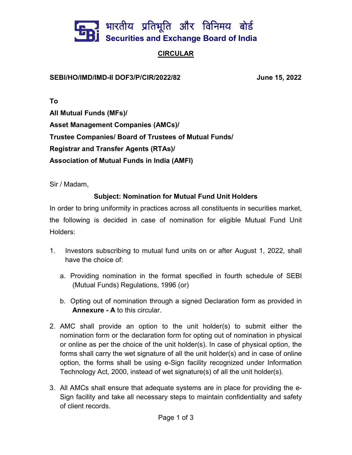

## **CIRCULAR**

SEBI/HO/IMD/IMD-II DOF3/P/CIR/2022/82 June 15, 2022

To

All Mutual Funds (MFs)/ Asset Management Companies (AMCs)/ Trustee Companies/ Board of Trustees of Mutual Funds/ Registrar and Transfer Agents (RTAs)/ Association of Mutual Funds in India (AMFI)

Sir / Madam,

## Subject: Nomination for Mutual Fund Unit Holders

In order to bring uniformity in practices across all constituents in securities market, the following is decided in case of nomination for eligible Mutual Fund Unit Holders:

- 1. Investors subscribing to mutual fund units on or after August 1, 2022, shall have the choice of:
	- a. Providing nomination in the format specified in fourth schedule of SEBI (Mutual Funds) Regulations, 1996 (or)
	- b. Opting out of nomination through a signed Declaration form as provided in Annexure - A to this circular.
- 2. AMC shall provide an option to the unit holder(s) to submit either the nomination form or the declaration form for opting out of nomination in physical or online as per the choice of the unit holder(s). In case of physical option, the forms shall carry the wet signature of all the unit holder(s) and in case of online option, the forms shall be using e-Sign facility recognized under Information Technology Act, 2000, instead of wet signature(s) of all the unit holder(s).
- 3. All AMCs shall ensure that adequate systems are in place for providing the e-Sign facility and take all necessary steps to maintain confidentiality and safety of client records.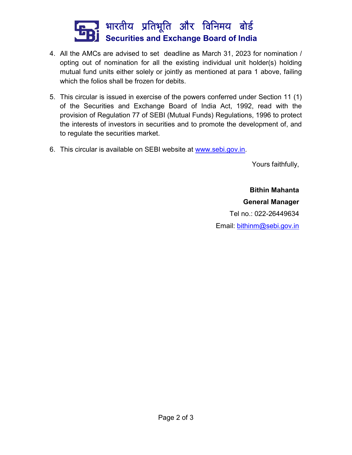

- 4. All the AMCs are advised to set deadline as March 31, 2023 for nomination / opting out of nomination for all the existing individual unit holder(s) holding mutual fund units either solely or jointly as mentioned at para 1 above, failing which the folios shall be frozen for debits.
- 5. This circular is issued in exercise of the powers conferred under Section 11 (1) of the Securities and Exchange Board of India Act, 1992, read with the provision of Regulation 77 of SEBI (Mutual Funds) Regulations, 1996 to protect the interests of investors in securities and to promote the development of, and to regulate the securities market.
- 6. This circular is available on SEBI website at www.sebi.gov.in.

Yours faithfully,

Bithin Mahanta General Manager Tel no.: 022-26449634 Email: bithinm@sebi.gov.in